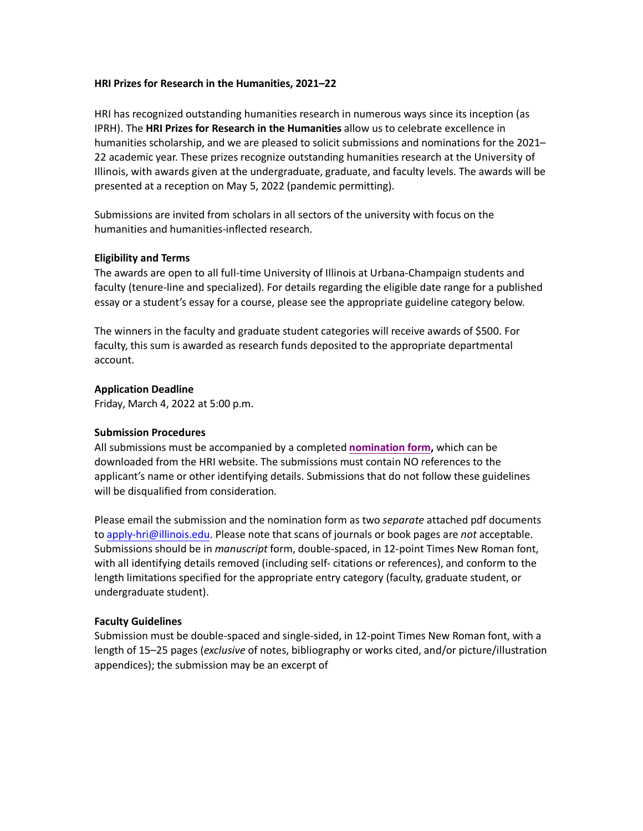## **HRI Prizes for Research in the Humanities, 2021–22**

HRI has recognized outstanding humanities research in numerous ways since its inception (as IPRH). The **HRI Prizes for Research in the Humanities** allow us to celebrate excellence in humanities scholarship, and we are pleased to solicit submissions and nominations for the 2021– 22 academic year. These prizes recognize outstanding humanities research at the University of Illinois, with awards given at the undergraduate, graduate, and faculty levels. The awards will be presented at a reception on May 5, 2022 (pandemic permitting).

Submissions are invited from scholars in all sectors of the university with focus on the humanities and humanities-inflected research.

## **Eligibility and Terms**

The awards are open to all full-time University of Illinois at Urbana-Champaign students and faculty (tenure-line and specialized). For details regarding the eligible date range for a published essay or a student's essay for a course, please see the appropriate guideline category below.

The winners in the faculty and graduate student categories will receive awards of \$500. For faculty, this sum is awarded as research funds deposited to the appropriate departmental account.

## **Application Deadline**

Friday, March 4, 2022 at 5:00 p.m.

#### **Submission Procedures**

All submissions must be accompanied by a completed **[nomination form,](https://hri.illinois.edu/sites/default/files/guidelines/HRI-PrizesNominationForm21-22.pdf)** which can be downloaded from the HRI website. The submissions must contain NO references to the applicant's name or other identifying details. Submissions that do not follow these guidelines will be disqualified from consideration.

Please email the submission and the nomination form as two *separate* attached pdf documents to [apply-hri@illinois.edu.](mailto:apply-hri@illinois.edu) Please note that scans of journals or book pages are *not* acceptable. Submissions should be in *manuscript* form, double-spaced, in 12-point Times New Roman font, with all identifying details removed (including self- citations or references), and conform to the length limitations specified for the appropriate entry category (faculty, graduate student, or undergraduate student).

## **Faculty Guidelines**

Submission must be double-spaced and single-sided, in 12-point Times New Roman font, with a length of 15–25 pages (*exclusive* of notes, bibliography or works cited, and/or picture/illustration appendices); the submission may be an excerpt of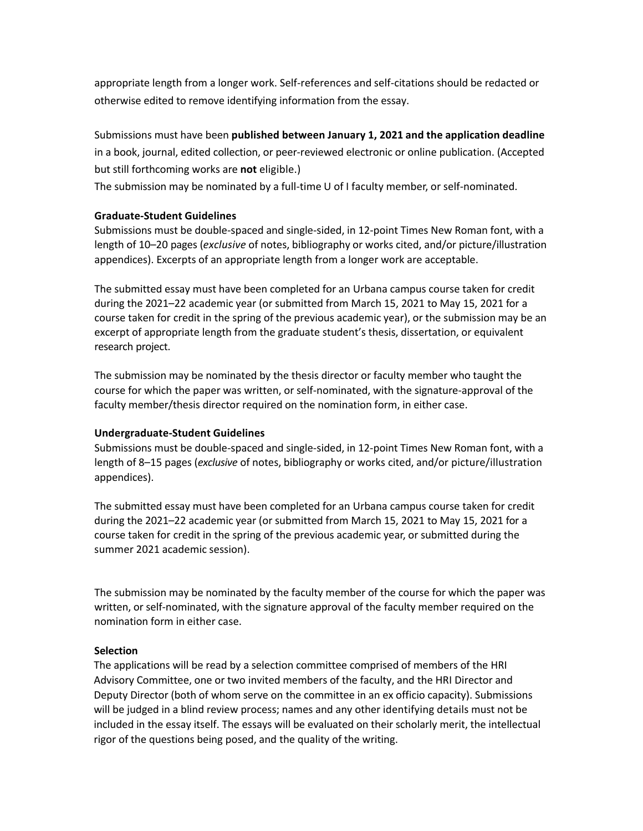appropriate length from a longer work. Self-references and self-citations should be redacted or otherwise edited to remove identifying information from the essay.

Submissions must have been **published between January 1, 2021 and the application deadline**  in a book, journal, edited collection, or peer-reviewed electronic or online publication. (Accepted but still forthcoming works are **not** eligible.)

The submission may be nominated by a full-time U of I faculty member, or self-nominated.

# **Graduate-Student Guidelines**

Submissions must be double-spaced and single-sided, in 12-point Times New Roman font, with a length of 10–20 pages (*exclusive* of notes, bibliography or works cited, and/or picture/illustration appendices). Excerpts of an appropriate length from a longer work are acceptable.

The submitted essay must have been completed for an Urbana campus course taken for credit during the 2021–22 academic year (or submitted from March 15, 2021 to May 15, 2021 for a course taken for credit in the spring of the previous academic year), or the submission may be an excerpt of appropriate length from the graduate student's thesis, dissertation, or equivalent research project.

The submission may be nominated by the thesis director or faculty member who taught the course for which the paper was written, or self-nominated, with the signature-approval of the faculty member/thesis director required on the nomination form, in either case.

## **Undergraduate-Student Guidelines**

Submissions must be double-spaced and single-sided, in 12-point Times New Roman font, with a length of 8–15 pages (*exclusive* of notes, bibliography or works cited, and/or picture/illustration appendices).

The submitted essay must have been completed for an Urbana campus course taken for credit during the 2021–22 academic year (or submitted from March 15, 2021 to May 15, 2021 for a course taken for credit in the spring of the previous academic year, or submitted during the summer 2021 academic session).

The submission may be nominated by the faculty member of the course for which the paper was written, or self-nominated, with the signature approval of the faculty member required on the nomination form in either case.

## **Selection**

The applications will be read by a selection committee comprised of members of the HRI Advisory Committee, one or two invited members of the faculty, and the HRI Director and Deputy Director (both of whom serve on the committee in an ex officio capacity). Submissions will be judged in a blind review process; names and any other identifying details must not be included in the essay itself. The essays will be evaluated on their scholarly merit, the intellectual rigor of the questions being posed, and the quality of the writing.